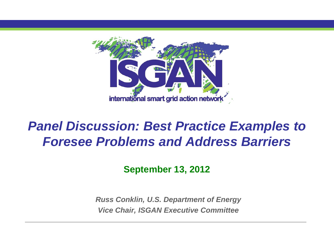

## *Panel Discussion: Best Practice Examples to Foresee Problems and Address Barriers*

**September 13, 2012**

*Russ Conklin, U.S. Department of Energy Vice Chair, ISGAN Executive Committee*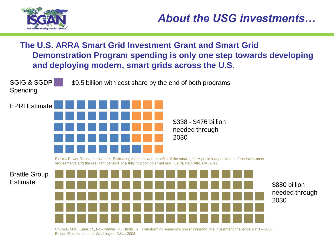

#### **The U.S. ARRA Smart Grid Investment Grant and Smart Grid Demonstration Program spending is only one step towards developing and deploying modern, smart grids across the U.S.**



Chupka, M.W. Earle, R., Fox-Penner, P., Hledik, R. Transforming America's power industry: The investment challenge 2010 – 2030. Edison Electric Institute, Washington D.C.,: 2008.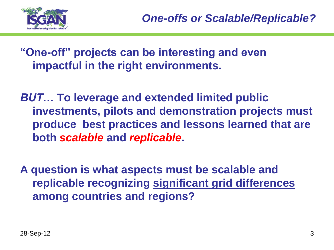

**"One-off" projects can be interesting and even impactful in the right environments.** 

*BUT…* **To leverage and extended limited public investments, pilots and demonstration projects must produce best practices and lessons learned that are both** *scalable* **and** *replicable***.**

**A question is what aspects must be scalable and replicable recognizing significant grid differences among countries and regions?**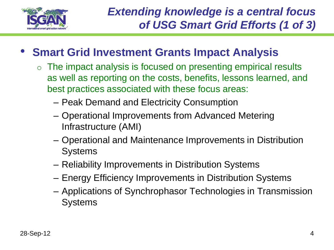

### • **Smart Grid Investment Grants Impact Analysis**

- o The impact analysis is focused on presenting empirical results as well as reporting on the costs, benefits, lessons learned, and best practices associated with these focus areas:
	- Peak Demand and Electricity Consumption
	- Operational Improvements from Advanced Metering Infrastructure (AMI)
	- Operational and Maintenance Improvements in Distribution **Systems**
	- Reliability Improvements in Distribution Systems
	- Energy Efficiency Improvements in Distribution Systems
	- Applications of Synchrophasor Technologies in Transmission **Systems**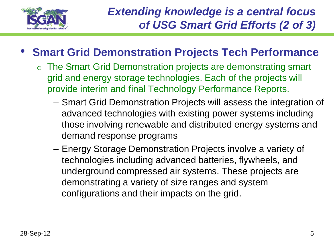

- **Smart Grid Demonstration Projects Tech Performance** 
	- o The Smart Grid Demonstration projects are demonstrating smart grid and energy storage technologies. Each of the projects will provide interim and final Technology Performance Reports.
		- Smart Grid Demonstration Projects will assess the integration of advanced technologies with existing power systems including those involving renewable and distributed energy systems and demand response programs
		- Energy Storage Demonstration Projects involve a variety of technologies including advanced batteries, flywheels, and underground compressed air systems. These projects are demonstrating a variety of size ranges and system configurations and their impacts on the grid.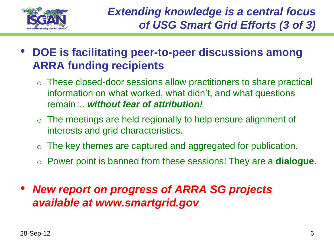

- **DOE is facilitating peer-to-peer discussions among ARRA funding recipients**
	- o These closed-door sessions allow practitioners to share practical information on what worked, what didn't, and what questions remain… *without fear of attribution!*
	- $\circ$  The meetings are held regionally to help ensure alignment of interests and grid characteristics.
	- o The key themes are captured and aggregated for publication.
	- o Power point is banned from these sessions! They are a **dialogue**.
- *New report on progress of ARRA SG projects available at www.smartgrid.gov*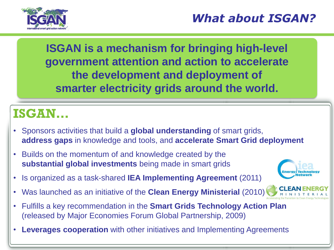

**ISGAN is a mechanism for bringing high-level government attention and action to accelerate the development and deployment of smarter electricity grids around the world.**

## **ISGAN…**

- Sponsors activities that build a **global understanding** of smart grids, **address gaps** in knowledge and tools, and **accelerate Smart Grid deployment**
- Builds on the momentum of and knowledge created by the **substantial global investments** being made in smart grids
- Is organized as a task-shared **IEA Implementing Agreement** (2011)
- Was launched as an initiative of the **Clean Energy Ministerial** (2010)
- Fulfills a key recommendation in the **Smart Grids Technology Action Plan** (released by Major Economies Forum Global Partnership, 2009)
- **Leverages cooperation** with other initiatives and Implementing Agreements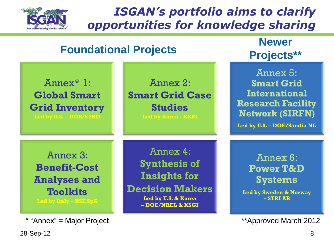

### *ISGAN's portfolio aims to clarify opportunities for knowledge sharing*



\* "Annex" = Major Project **\*\***Approved March 2012

28-Sep-12 8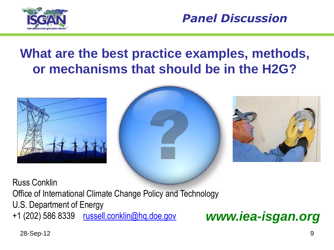



# **What are the best practice examples, methods, or mechanisms that should be in the H2G?**







Russ Conklin

Office of International Climate Change Policy and Technology

U.S. Department of Energy

+1 (202) 586 8339 [russell.conklin@hq.doe.gov](mailto:russell.conklin@hq.doe.gov) *www.iea-isgan.org*